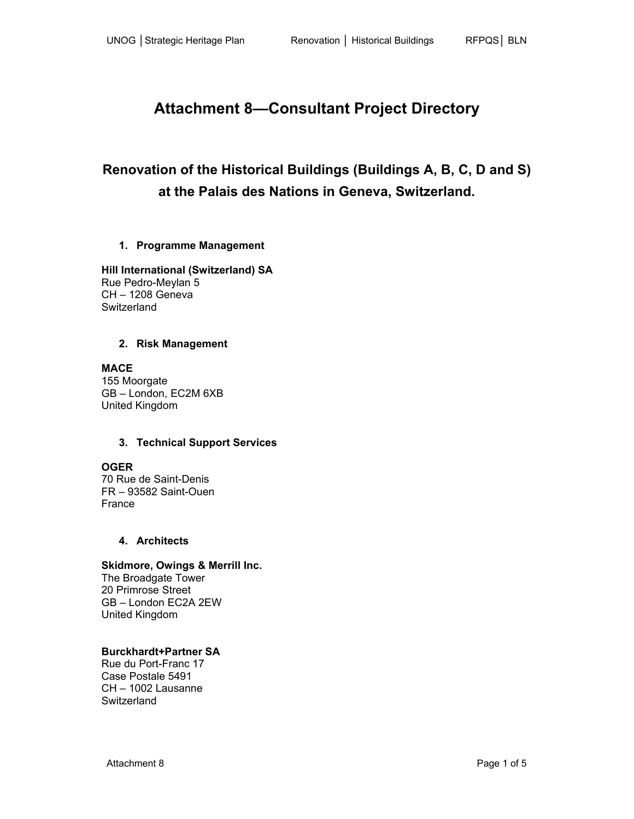# **Attachment 8—Consultant Project Directory**

# **Renovation of the Historical Buildings (Buildings A, B, C, D and S) at the Palais des Nations in Geneva, Switzerland.**

# **1. Programme Management**

**Hill International (Switzerland) SA**  Rue Pedro-Meylan 5 CH – 1208 Geneva **Switzerland** 

# **2. Risk Management**

**MACE**  155 Moorgate GB – London, EC2M 6XB United Kingdom

# **3. Technical Support Services**

# **OGER**

70 Rue de Saint-Denis FR – 93582 Saint-Ouen France

# **4. Architects**

# **Skidmore, Owings & Merrill Inc.**

The Broadgate Tower 20 Primrose Street GB – London EC2A 2EW United Kingdom

# **Burckhardt+Partner SA**

Rue du Port-Franc 17 Case Postale 5491 CH – 1002 Lausanne **Switzerland**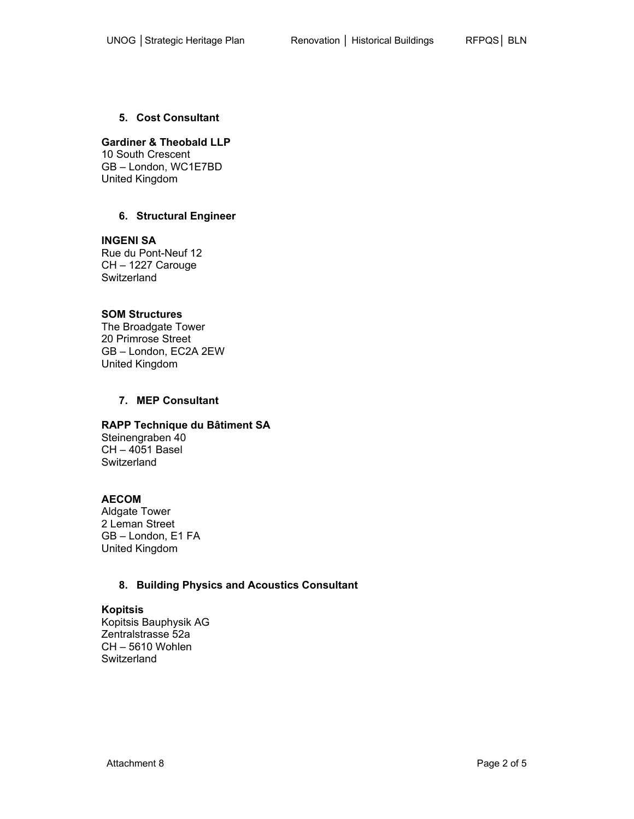#### **5. Cost Consultant**

#### **Gardiner & Theobald LLP**

10 South Crescent GB – London, WC1E7BD United Kingdom

# **6. Structural Engineer**

**INGENI SA** 

Rue du Pont-Neuf 12 CH – 1227 Carouge **Switzerland** 

#### **SOM Structures**

The Broadgate Tower 20 Primrose Street GB – London, EC2A 2EW United Kingdom

#### **7. MEP Consultant**

#### **RAPP Technique du Bâtiment SA**

Steinengraben 40 CH – 4051 Basel **Switzerland** 

#### **AECOM**

Aldgate Tower 2 Leman Street GB – London, E1 FA United Kingdom

# **8. Building Physics and Acoustics Consultant**

# **Kopitsis**

Kopitsis Bauphysik AG Zentralstrasse 52a CH – 5610 Wohlen **Switzerland**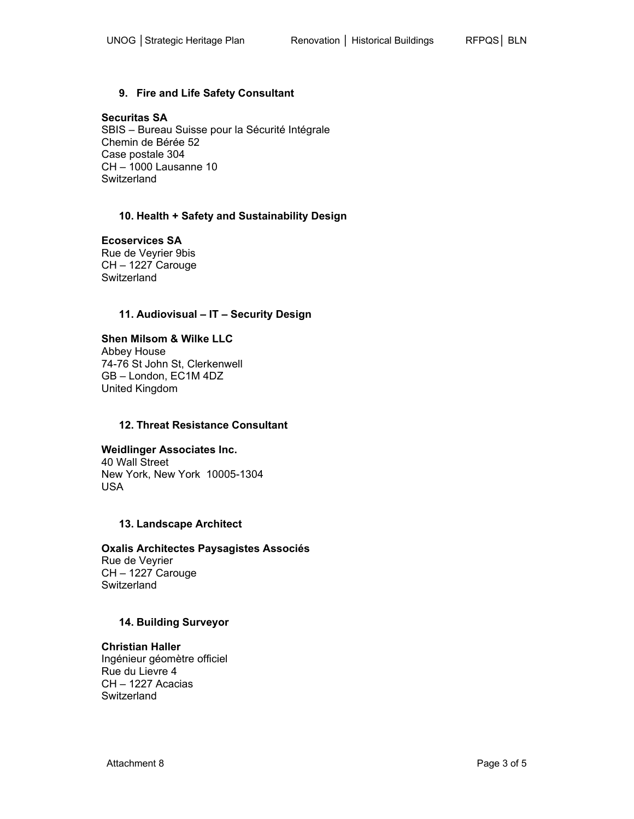# **Securitas SA**

SBIS – Bureau Suisse pour la Sécurité Intégrale Chemin de Bérée 52 Case postale 304 CH – 1000 Lausanne 10 **Switzerland** 

# **10. Health + Safety and Sustainability Design**

# **Ecoservices SA**

Rue de Veyrier 9bis CH – 1227 Carouge **Switzerland** 

# **11. Audiovisual – IT – Security Design**

#### **Shen Milsom & Wilke LLC**  Abbey House 74-76 St John St, Clerkenwell GB – London, EC1M 4DZ United Kingdom

# **12. Threat Resistance Consultant**

# **Weidlinger Associates Inc.**

40 Wall Street New York, New York 10005-1304 USA

# **13. Landscape Architect**

# **Oxalis Architectes Paysagistes Associés**

Rue de Veyrier CH – 1227 Carouge **Switzerland** 

# **14. Building Surveyor**

# **Christian Haller**

Ingénieur géomètre officiel Rue du Lievre 4 CH – 1227 Acacias **Switzerland**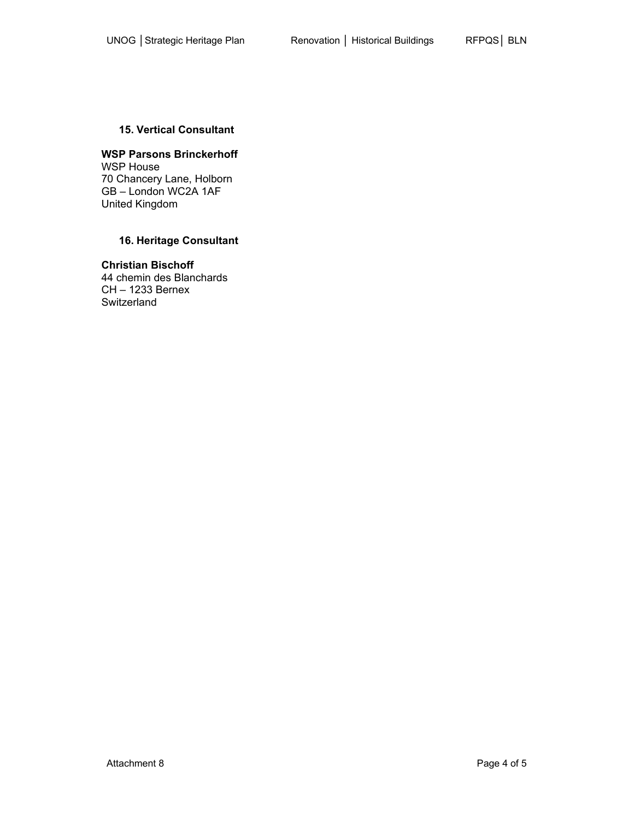#### **15. Vertical Consultant**

#### **WSP Parsons Brinckerhoff**  WSP House 70 Chancery Lane, Holborn GB – London WC2A 1AF United Kingdom

# **16. Heritage Consultant**

#### **Christian Bischoff**  44 chemin des Blanchards CH – 1233 Bernex

**Switzerland**